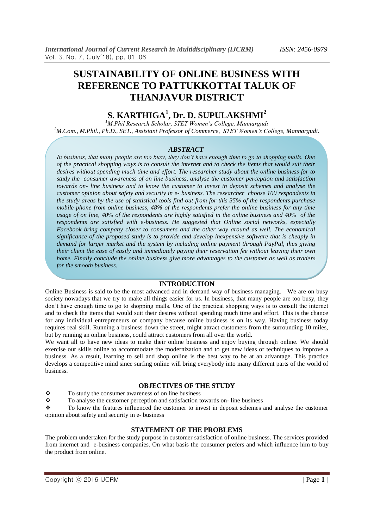# **SUSTAINABILITY OF ONLINE BUSINESS WITH REFERENCE TO PATTUKKOTTAI TALUK OF THANJAVUR DISTRICT**

## **S. KARTHIGA<sup>1</sup> , Dr. D. SUPULAKSHMI<sup>2</sup>**

*<sup>1</sup>M.Phil Research Scholar, STET Women's College, Mannargudi <sup>2</sup>M.Com., M.Phil., Ph.D., SET., Assistant Professor of Commerce, STET Women's College, Mannargudi.*

## *ABSTRACT*

*In business, that many people are too busy, they don't have enough time to go to shopping malls. One of the practical shopping ways is to consult the internet and to check the items that would suit their desires without spending much time and effort. The researcher study about the online business for to study the consumer awareness of on line business, analyse the customer perception and satisfaction towards on- line business and to know the customer to invest in deposit schemes and analyse the customer opinion about safety and security in e- business. The researcher choose 100 respondents in the study areas by the use of statistical tools find out from for this 35% of the respondents purchase mobile phone from online business, 48% of the respondents prefer the online business for any time usage of on line, 40% of the respondents are highly satisfied in the online business and 40% of the respondents are satisfied with e-business. He suggested that Online social networks, especially Facebook bring company closer to consumers and the other way around as well. The economical significance of the proposed study is to provide and develop inexpensive software that is cheaply in demand for larger market and the system by including online payment through PayPal, thus giving their client the ease of easily and immediately paying their reservation fee without leaving their own home. Finally conclude the online business give more advantages to the customer as well as traders for the smooth business.*

#### **INTRODUCTION**

Online Business is said to be the most advanced and in demand way of business managing. We are on busy society nowadays that we try to make all things easier for us. In business, that many people are too busy, they don't have enough time to go to shopping malls. One of the practical shopping ways is to consult the internet and to check the items that would suit their desires without spending much time and effort. This is the chance for any individual entrepreneurs or company because online business is on its way. Having business today requires real skill. Running a business down the street, might attract customers from the surrounding 10 miles, but by running an online business, could attract customers from all over the world.

We want all to have new ideas to make their online business and enjoy buying through online. We should exercise our skills online to accommodate the modernization and to get new ideas or techniques to improve a business. As a result, learning to sell and shop online is the best way to be at an advantage. This practice develops a competitive mind since surfing online will bring everybody into many different parts of the world of business.

## **OBJECTIVES OF THE STUDY**

 $\mathbf{\hat{P}}$  To study the consumer awareness of on line business

\* To analyse the customer perception and satisfaction towards on- line business

\* To know the features influenced the customer to invest in deposit schemes and analyse the customer opinion about safety and security in e- business

## **STATEMENT OF THE PROBLEMS**

The problem undertaken for the study purpose in customer satisfaction of online business. The services provided from internet and e-business companies. On what basis the consumer prefers and which influence him to buy the product from online.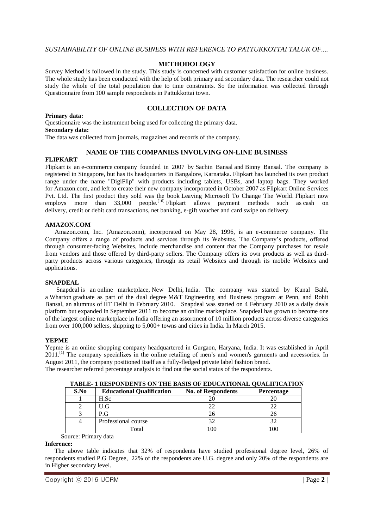## **METHODOLOGY**

Survey Method is followed in the study. This study is concerned with customer satisfaction for online business. The whole study has been conducted with the help of both primary and secondary data. The researcher could not study the whole of the total population due to time constraints. So the information was collected through Questionnaire from 100 sample respondents in Pattukkottai town.

## **COLLECTION OF DATA**

#### **Primary data:**

Questionnaire was the instrument being used for collecting the primary data. **Secondary data:**

The data was collected from journals, magazines and records of the company.

## **NAME OF THE COMPANIES INVOLVING ON-LINE BUSINESS**

#### **FLIPKART**

Flipkart is an [e-commerce](https://en.wikipedia.org/wiki/E-commerce) company founded in 2007 by [Sachin Bansal](https://en.wikipedia.org/wiki/Sachin_Bansal) and [Binny Bansal.](https://en.wikipedia.org/wiki/Binny_Bansal) The company is registered in Singapore, but has its headquarters in [Bangalore,](https://en.wikipedia.org/wiki/Bangalore) [Karnataka.](https://en.wikipedia.org/wiki/Karnataka) Flipkart has launched its own product range under the name "DigiFlip" with products including tablets, USBs, and laptop bags. They worked for [Amazon.com,](https://en.wikipedia.org/wiki/Amazon.com) and left to create their new company incorporated in October 2007 as Flipkart Online Services Pvt. Ltd. The first product they sold was the book Leaving Microsoft To Change The World. Flipkart now employs more than 33,000 people.<sup>[\[16\]](https://en.wikipedia.org/wiki/Flipkart#cite_note-16)</sup> Flipkart allows payment methods such as cash on [delivery,](https://en.wikipedia.org/wiki/Collect_on_delivery) [credit](https://en.wikipedia.org/wiki/Credit_card) or [debit](https://en.wikipedia.org/wiki/Debit_card) card transactions, [net banking,](https://en.wikipedia.org/wiki/Net_banking) e-gift voucher and card swipe on delivery.

## **AMAZON.COM**

 Amazon.com, Inc. (Amazon.com), incorporated on May 28, 1996, is an e-commerce company. The Company offers a range of products and services through its Websites. The Company's products, offered through consumer-facing Websites, include merchandise and content that the Company purchases for resale from vendors and those offered by third-party sellers. The Company offers its own products as well as thirdparty products across various categories, through its retail Websites and through its mobile Websites and applications.

#### **SNAPDEAL**

 Snapdeal is an [online marketplace,](https://en.wikipedia.org/wiki/Online_marketplace) [New Delhi,](https://en.wikipedia.org/wiki/New_Delhi) [India.](https://en.wikipedia.org/wiki/India) The company was started by Kunal Bahl, a [Wharton](https://en.wikipedia.org/wiki/Wharton_School_of_the_University_of_Pennsylvania) graduate as part of the dual degree [M&T](https://en.wikipedia.org/wiki/Jerome_Fisher_Program_in_Management_and_Technology) Engineering and Business program at Penn, and Rohit Bansal, an alumnus of [IIT Delhi](https://en.wikipedia.org/wiki/Indian_Institute_of_Technology_Delhi) in February 2010. Snapdeal was started on 4 February 2010 as a daily deals platform but expanded in September 2011 to become an online marketplace. Snapdeal has grown to become one of the largest online marketplace in India offering an assortment of 10 million products across diverse categories from over 100,000 sellers, shipping to 5,000+ towns and cities in India. In March 2015.

#### **YEPME**

Yepme is an online shopping company headquartered in [Gurgaon,](https://en.wikipedia.org/wiki/Gurgaon) [Haryana,](https://en.wikipedia.org/wiki/Haryana) India. It was established in April 2011.<sup>[\[1\]](https://en.wikipedia.org/wiki/Yepme#cite_note-Exchange4Media-1)</sup> The company specializes in the online retailing of men's and women's garments and accessories. In August 2011, the company positioned itself as a fully-fledged private label fashion brand. The researcher referred percentage analysis to find out the social status of the respondents.

| TABLE- I RESPONDENTS ON THE BASIS OF EDUCATIONAL QUALIFICATION |                                  |                           |                   |
|----------------------------------------------------------------|----------------------------------|---------------------------|-------------------|
| S.No                                                           | <b>Educational Qualification</b> | <b>No. of Respondents</b> | <b>Percentage</b> |
|                                                                | H.Sc                             |                           |                   |
|                                                                | U.G                              | 22                        |                   |
|                                                                | P.G                              | 26                        |                   |
|                                                                | Professional course              | 32                        |                   |
|                                                                | Total                            | 0 <sup>0</sup>            | 0 <sup>0</sup>    |

Source: Primary data

#### **Inference:**

 The above table indicates that 32% of respondents have studied professional degree level, 26% of respondents studied P.G Degree, 22% of the respondents are U.G. degree and only 20% of the respondents are in Higher secondary level.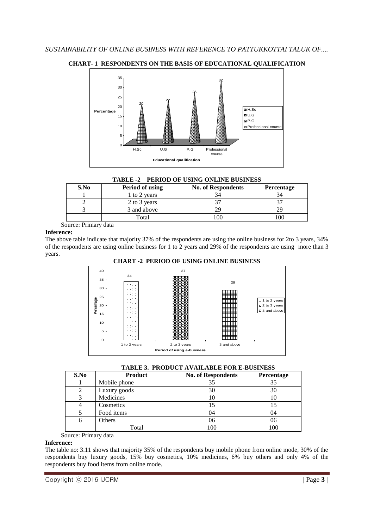



#### **TABLE -2 PERIOD OF USING ONLINE BUSINESS**

| S.No | Period of using | <b>No. of Respondents</b> | <b>Percentage</b> |
|------|-----------------|---------------------------|-------------------|
|      | 1 to 2 years    |                           |                   |
|      | 2 to 3 years    |                           |                   |
|      | 3 and above     |                           |                   |
|      | Total           |                           |                   |

Source: Primary data

#### **Inference:**

The above table indicate that majority 37% of the respondents are using the online business for 2to 3 years, 34% of the respondents are using online business for 1 to 2 years and 29% of the respondents are using more than 3 years.



## **CHART -2 PERIOD OF USING ONLINE BUSINESS**

## **TABLE 3. PRODUCT AVAILABLE FOR E-BUSINESS**

| S.No | <b>Product</b> | <b>No. of Respondents</b> | Percentage |
|------|----------------|---------------------------|------------|
|      | Mobile phone   | 35                        | 35         |
|      | Luxury goods   | 30                        | 30         |
|      | Medicines      | 10                        | 10         |
|      | Cosmetics      | 15                        |            |
|      | Food items     | 04                        | 04         |
|      | Others         | 06                        | 06         |
|      | Total          | 100                       | 100        |

## Source: Primary data

## **Inference:**

The table no: 3.11 shows that majority 35% of the respondents buy mobile phone from online mode, 30% of the respondents buy luxury goods, 15% buy cosmetics, 10% medicines, 6% buy others and only 4% of the respondents buy food items from online mode.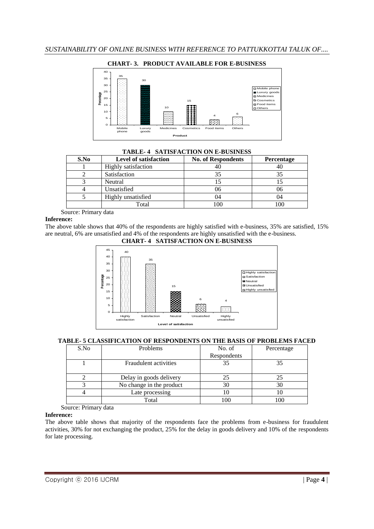

| S.No | <b>Level of satisfaction</b> | <b>No. of Respondents</b> | <b>Percentage</b> |
|------|------------------------------|---------------------------|-------------------|
|      | <b>Highly</b> satisfaction   | 40                        | 40                |
|      | Satisfaction                 | 35                        | 35                |
|      | Neutral                      |                           |                   |
|      | Unsatisfied                  | 06                        | 06                |
|      | Highly unsatisfied           |                           | 04                |
|      | Total                        |                           | 100               |

**TABLE- 4 SATISFACTION ON E-BUSINESS**

Source: Primary data

## **Inference:**

The above table shows that 40% of the respondents are highly satisfied with e-business, 35% are satisfied, 15% are neutral, 6% are unsatisfied and 4% of the respondents are highly unsatisfied with the e-business.



**CHART- 4 SATISFACTION ON E-BUSINESS**

## **TABLE- 5 CLASSIFICATION OF RESPONDENTS ON THE BASIS OF PROBLEMS FACED**

| S.No | Problems                     | No. of      | Percentage |
|------|------------------------------|-------------|------------|
|      |                              | Respondents |            |
|      | <b>Fraudulent</b> activities | 35          | 35         |
|      | Delay in goods delivery      |             |            |
|      | No change in the product     | 30          |            |
|      | Late processing              |             |            |
|      | Total                        |             | 00         |

Source: Primary data

## **Inference:**

The above table shows that majority of the respondents face the problems from e-business for fraudulent activities, 30% for not exchanging the product, 25% for the delay in goods delivery and 10% of the respondents for late processing.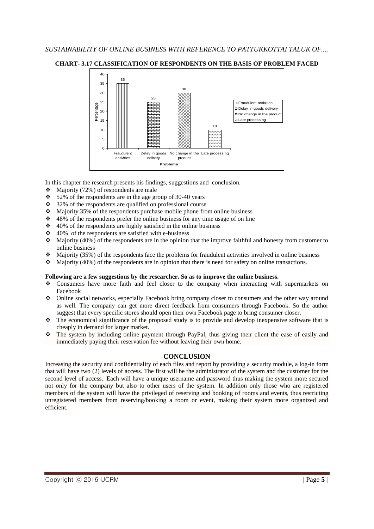



In this chapter the research presents his findings, suggestions and conclusion.

- $\triangleleft$  Majority (72%) of respondents are male
- $\div$  52% of the respondents are in the age group of 30-40 years
- $\div$  32% of the respondents are qualified on professional course
- $\cdot$  Majority 35% of the respondents purchase mobile phone from online business
- $\div$  48% of the respondents prefer the online business for any time usage of on line
- $\div$  40% of the respondents are highly satisfied in the online business
- $\div$  40% of the respondents are satisfied with e-business
- $\triangleleft$  Majority (40%) of the respondents are in the opinion that the improve faithful and honesty from customer to online business
- $\bullet$  Majority (35%) of the respondents face the problems for fraudulent activities involved in online business
- Majority (40%) of the respondents are in opinion that there is need for safety on online transactions.

#### **Following are a few suggestions by the researcher. So as to improve the online business.**

- Consumers have more faith and feel closer to the company when interacting with supermarkets on Facebook
- Online social networks, especially Facebook bring company closer to consumers and the other way around as well. The company can get more direct feedback from consumers through Facebook. So the author suggest that every specific stores should open their own Facebook page to bring consumer closer.
- The economical significance of the proposed study is to provide and develop inexpensive software that is cheaply in demand for larger market.
- The system by including online payment through PayPal, thus giving their client the ease of easily and immediately paying their reservation fee without leaving their own home.

## **CONCLUSION**

Increasing the security and confidentiality of each files and report by providing a security module, a log-in form that will have two (2) levels of access. The first will be the administrator of the system and the customer for the second level of access. Each will have a unique username and password thus making the system more secured not only for the company but also to other users of the system. In addition only those who are registered members of the system will have the privileged of reserving and booking of rooms and events, thus restricting unregistered members from reserving/booking a room or event, making their system more organized and efficient.